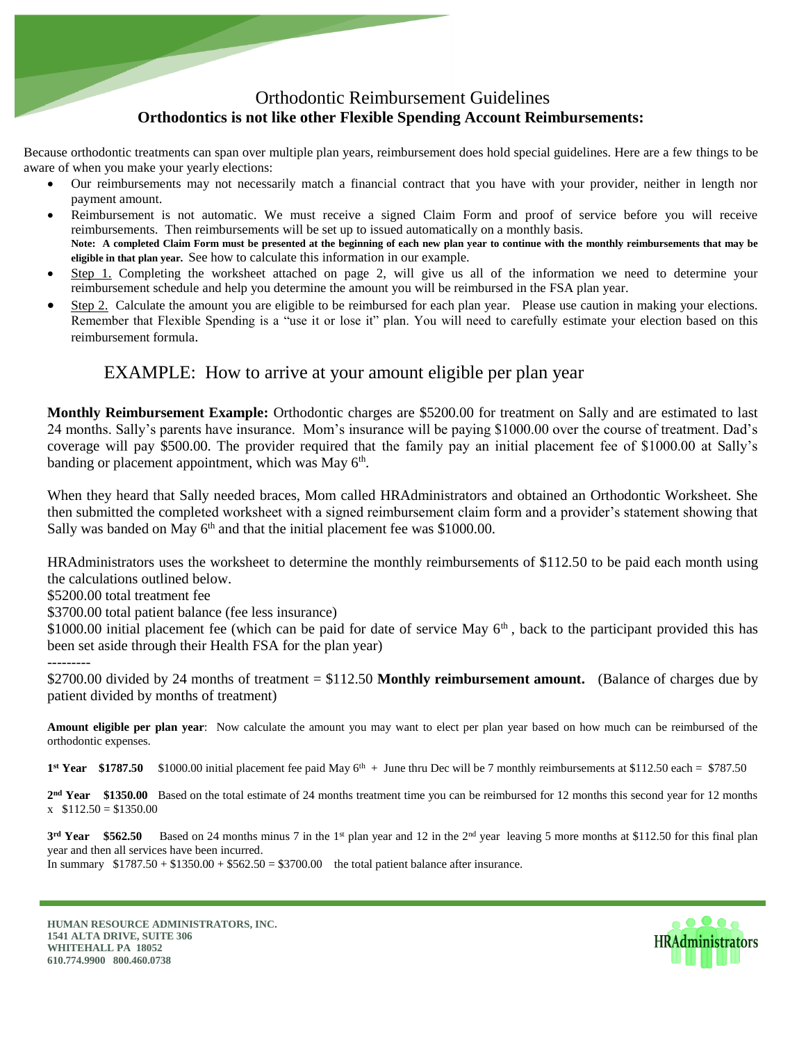## Orthodontic Reimbursement Guidelines **Orthodontics is not like other Flexible Spending Account Reimbursements:**

Because orthodontic treatments can span over multiple plan years, reimbursement does hold special guidelines. Here are a few things to be aware of when you make your yearly elections:

- Our reimbursements may not necessarily match a financial contract that you have with your provider, neither in length nor payment amount.
- Reimbursement is not automatic. We must receive a signed Claim Form and proof of service before you will receive reimbursements. Then reimbursements will be set up to issued automatically on a monthly basis. **Note: A completed Claim Form must be presented at the beginning of each new plan year to continue with the monthly reimbursements that may be eligible in that plan year.** See how to calculate this information in our example.
- Step 1. Completing the worksheet attached on page 2, will give us all of the information we need to determine your reimbursement schedule and help you determine the amount you will be reimbursed in the FSA plan year.
- Step 2. Calculate the amount you are eligible to be reimbursed for each plan year. Please use caution in making your elections. Remember that Flexible Spending is a "use it or lose it" plan. You will need to carefully estimate your election based on this reimbursement formula.

## EXAMPLE: How to arrive at your amount eligible per plan year

**Monthly Reimbursement Example:** Orthodontic charges are \$5200.00 for treatment on Sally and are estimated to last 24 months. Sally's parents have insurance. Mom's insurance will be paying \$1000.00 over the course of treatment. Dad's coverage will pay \$500.00. The provider required that the family pay an initial placement fee of \$1000.00 at Sally's banding or placement appointment, which was May 6<sup>th</sup>.

When they heard that Sally needed braces, Mom called HRAdministrators and obtained an Orthodontic Worksheet. She then submitted the completed worksheet with a signed reimbursement claim form and a provider's statement showing that Sally was banded on May  $6<sup>th</sup>$  and that the initial placement fee was \$1000.00.

HRAdministrators uses the worksheet to determine the monthly reimbursements of \$112.50 to be paid each month using the calculations outlined below.

\$5200.00 total treatment fee

\$3700.00 total patient balance (fee less insurance)

\$1000.00 initial placement fee (which can be paid for date of service May  $6<sup>th</sup>$ , back to the participant provided this has been set aside through their Health FSA for the plan year)

## ---------

\$2700.00 divided by 24 months of treatment = \$112.50 **Monthly reimbursement amount.** (Balance of charges due by patient divided by months of treatment)

**Amount eligible per plan year**: Now calculate the amount you may want to elect per plan year based on how much can be reimbursed of the orthodontic expenses.

**1<sup>st</sup> Year** \$1787.50 \$1000.00 initial placement fee paid May  $6^{th}$  + June thru Dec will be 7 monthly reimbursements at \$112.50 each = \$787.50

2<sup>nd</sup> **Year** \$1350.00 Based on the total estimate of 24 months treatment time you can be reimbursed for 12 months this second year for 12 months  $x \quad $112.50 = $1350.00$ 

**3<sup>rd</sup> Year** \$562.50 Based on 24 months minus 7 in the 1<sup>st</sup> plan year and 12 in the 2<sup>nd</sup> year leaving 5 more months at \$112.50 for this final plan year and then all services have been incurred. In summary  $$1787.50 + $1350.00 + $562.50 = $3700.00$  the total patient balance after insurance.